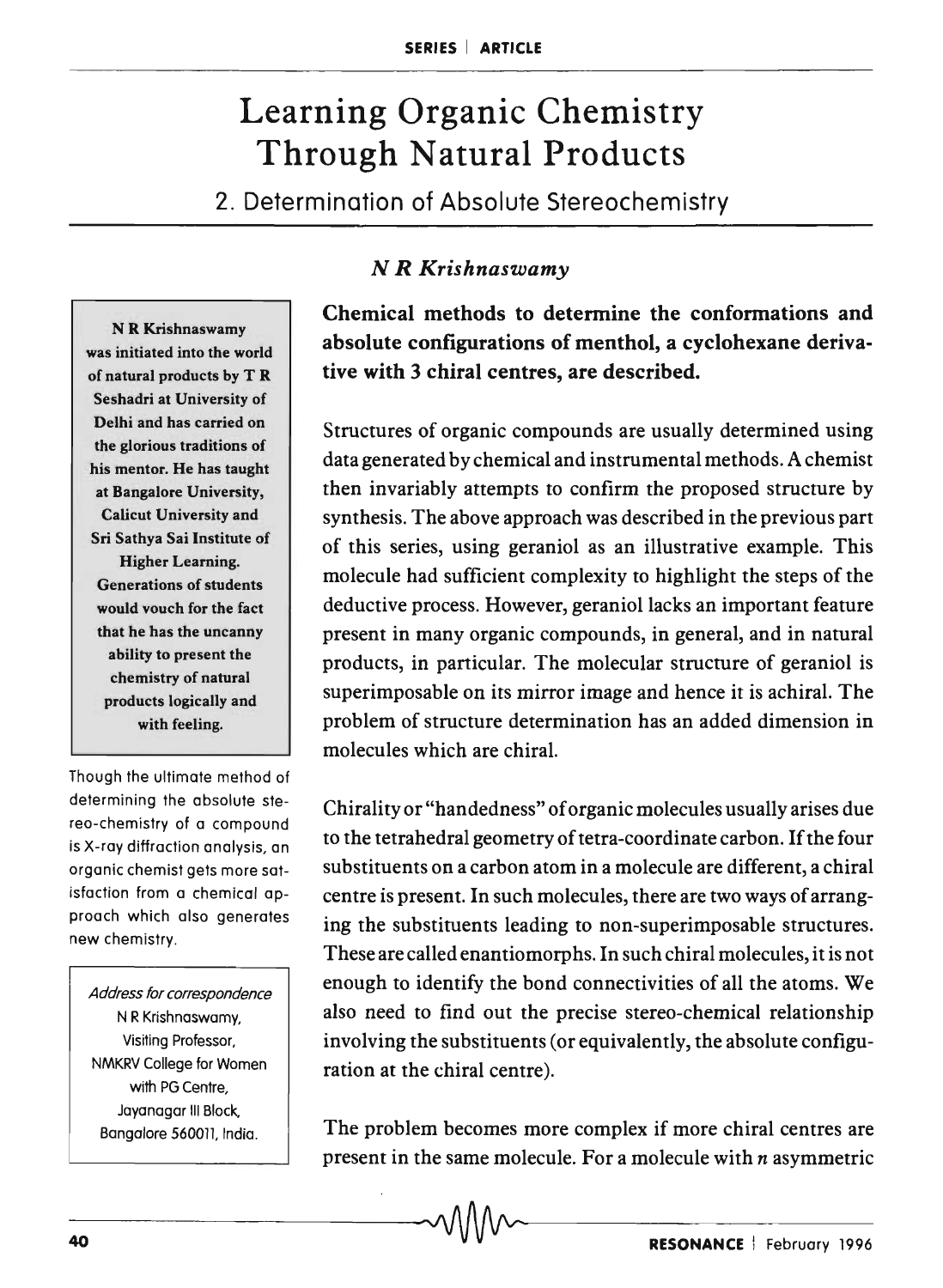## Learning Organic Chemistry Through Natural Products

2. Determination of Absolute Stereochemistry

N R Krishnaswamy was initiated into the world of natural products by T R Seshadri at University of Delhi and has carried on the glorious traditions of his mentor. He has taught at Bangalore University, Calicut University and Sri Sathya Sai Institute of Higher Learning. Generations of students would vouch for the fact that he has the uncanny ability to present the chemistry of natural products logically and with feeling.

Though the ultimate method of determining the absolute stereo-chemistry of a compound is X-ray diffraction analysis, an organic chemist gets more satisfaction from a chemical approach which also generates new chemistry.

Address for correspondence N R Krishnaswamy, Visiting Professor, NMKRV College for Women with PG Centre. Jayanagar III Block, Bangalore 560011, India.

## *N R Krishnaswamy*

Chemical methods to determine the conformations and absolute configurations of menthol, a cyclohexane derivative with 3 chiral centres, are described.

Structures of organic compounds are usually determined using data generated by chemical and instrumental methods. A chemist then invariably attempts to confirm the proposed structure by synthesis. The above approach was described in the previous part of this series, using geraniol as an illustrative example. This molecule had sufficient complexity to highlight the steps of the deductive process. However, geraniol lacks an important feature present in many organic compounds, in general, and in natural products, in particular. The molecular structure of geraniol is superimposable on its mirror image and hence it is achiral. The problem of structure determination has an added dimension in molecules which are chiral.

Chirality or "handedness" of organic molecules usually arises due to the tetrahedral geometry of tetra-coordinate carbon. If the four substituents on a carbon atom in a molecule are different, a chiral centre is present. In such molecules, there are two ways of arranging the substituents leading to non-superimposable structures. These are called enantiomorphs. In such chiral molecules, it is not enough to identify the bond connectivities of all the atoms. We also need to find out the precise stereo-chemical relationship involving the substituents (or equivalently, the absolute configuration at the chiral centre).

The problem becomes more complex if more chiral centres are present in the same molecule. For a molecule with *n* asymmetric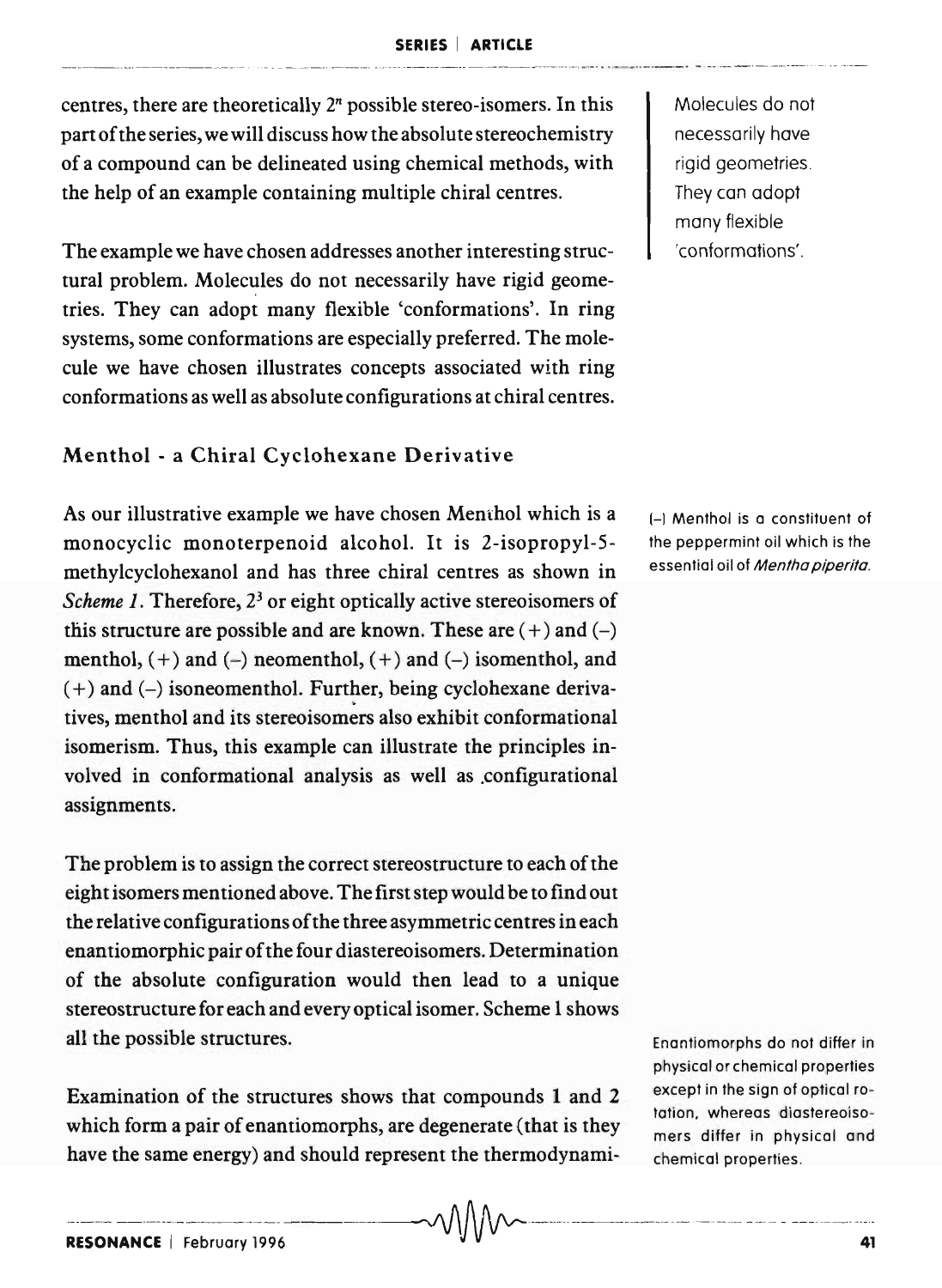centres, there are theoretically  $2<sup>n</sup>$  possible stereo-isomers. In this part of the series, we will discuss how the absolute stereochemistry of a compound can be delineated using chemical methods, with the help of an example containing multiple chiral centres.

The example we have chosen addresses another interesting structural problem. Molecules do not necessarily have rigid geometries. They can adopt many flexible 'conformations'. In ring systems, some conformations are especially preferred. The molecule we have chosen illustrates concepts associated with ring conformations as well as absolute configurations at chiral centres.

## Menthol - a Chiral Cyclohexane Derivative

As our illustrative example we have chosen Menthol which is a  $H_{\text{H}}$  Menthol is a constituent of monocyclic monoterpenoid alcohol. It is 2-isopropyl-5- the peppermint oil which is the methylcyclohexanol and has three chiral centres as shown in essential oil of Mentha piperita. *Scheme 1*. Therefore, 2<sup>3</sup> or eight optically active stereoisomers of this structure are possible and are known. These are  $(+)$  and  $(-)$ menthol,  $(+)$  and  $(-)$  neomenthol,  $(+)$  and  $(-)$  isomenthol, and  $(+)$  and  $(-)$  isoneomenthol. Further, being cyclohexane derivatives, menthol and its stereoisomers also exhibit conformational isomerism. Thus, this example can illustrate the principles involved in conformational analysis as well as .configurational assignments.

The problem is to assign the correct stereostructure to each of the eight isomers mentioned above. The first step would be to find out the relative configurations of the three asymmetric centres in each enantiomorphic pair of the four diastereoisomers. Determination of the absolute configuration would then lead to a unique stereostructure for each and every optical isomer. Scheme 1 shows all the possible structures.

Examination of the structures shows that compounds 1 and 2 which form a pair of enantiomorphs, are degenerate (that is they have the same energy) and should represent the thermodynamiMolecules do not necessarily have rigid geometries. They can adopt many flexible 'conformations' .

Enantiomorphs do not differ in physical or chemical properties except in the sign of optical rotation. whereas diastereoisomers differ in physical and chemical properties.

 $\sim$   $\wedge$   $\wedge$   $\wedge$   $\sim$  .  $\cdots$  .  $\cdots$  .  $\cdots$  .  $\cdots$  .  $\cdots$  .  $\cdots$  .  $\cdots$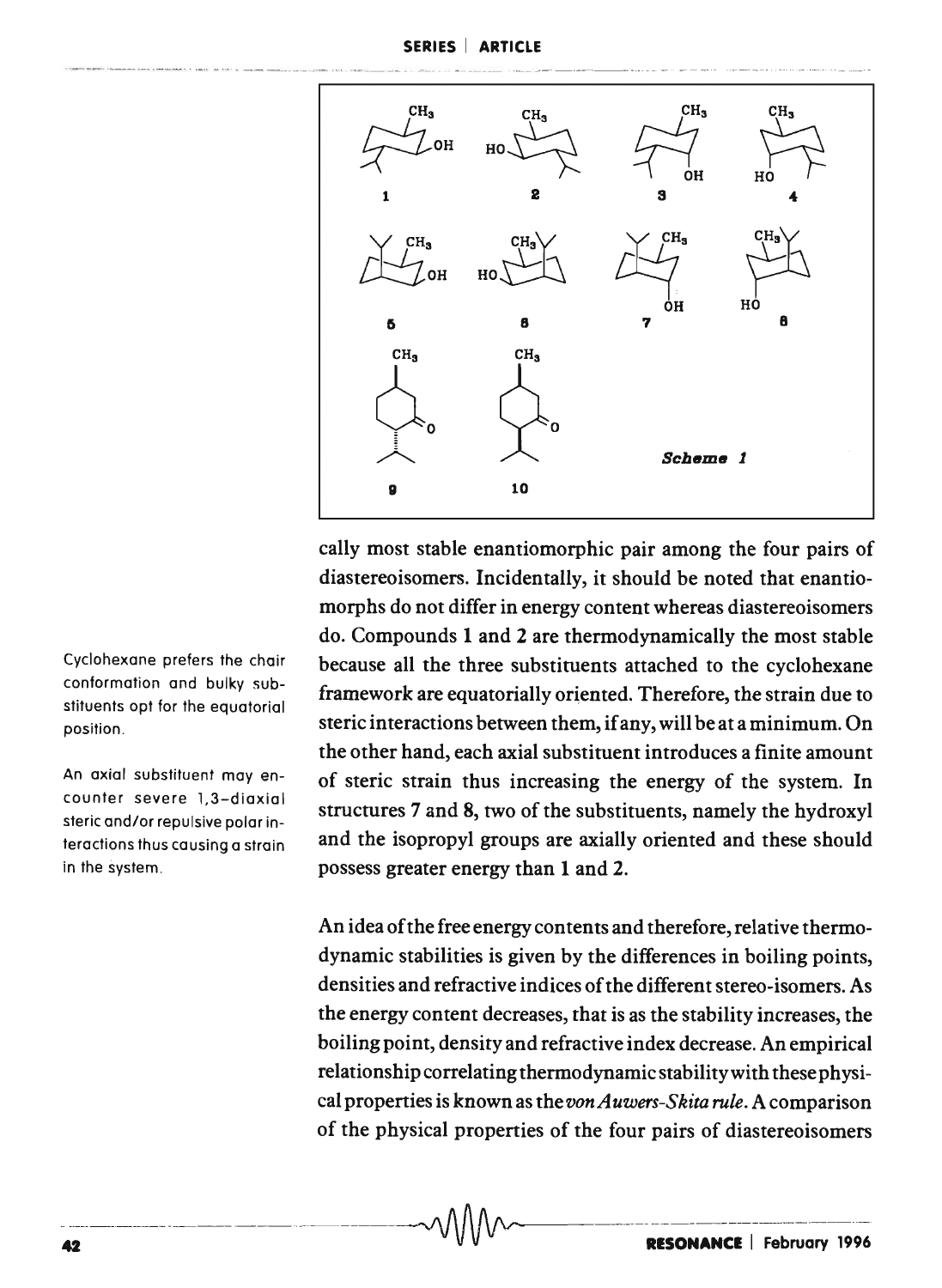

cally most stable enantiomorphic pair among the four pairs of diastereoisomers. Incidentally, it should be noted that enantiomorphs do not differ in energy content whereas diastereoisomers do. Compounds 1 and 2 are thermodynamically the most stable because all the three substituents attached to the cyclohexane framework are equatorially oriented. Therefore, the strain due to steric interactions between them, if any, will be at a minimum. On the other hand, each axial substituent introduces a finite amount of steric strain thus increasing the energy of the system. In structures 7 and 8, two of the substituents, namely the hydroxyl and the isopropyl groups are axially oriented and these should possess greater energy than 1 and 2.

An idea of the free energy contents and therefore, relative thermodynamic stabilities is given by the differences in boiling points, densities and refractive indices of the different stereo-isomers. As the energy content decreases, that is as the stability increases, the boiling point, density and refractive index decrease. An empirical relationship correlating thermodynamic stability with these physical properties is known as the *von Auwers-Skita rule.* A comparison of the physical properties of the four pairs of diastereoisomers

Cyclohexane prefers the chair conformation and bulky substituents opt for the equatorial position.

An axial substituent may encounter severe 1,3-diaxial steric and/or repulsive polar interactions thus causing a strain in the system .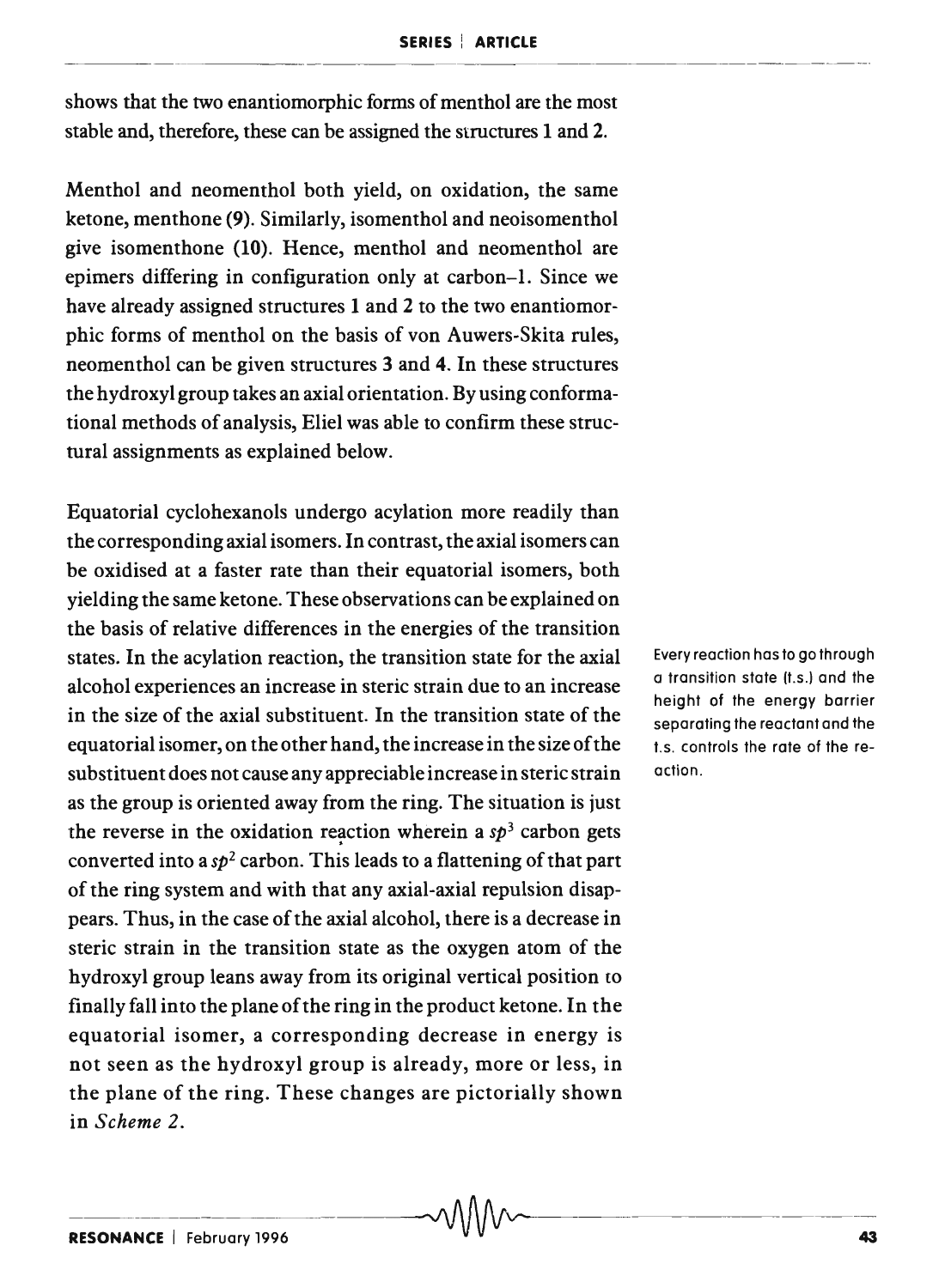shows that the two enantiomorphic forms of menthol are the most stable and, therefore, these can be assigned the structures 1 and 2.

Menthol and neomenthol both yield, on oxidation, the same ketone, menthone (9). Similarly, isomenthol and neoisomenthol give isomenthone (10). Hence, menthol and neomenthol are epimers differing in configuration only at carbon-I. Since we have already assigned structures 1 and 2 to the two enantiomorphic forms of menthol on the basis of von Auwers-Skita rules, neomenthol can be given structures 3 and 4. In these structures the hydroxyl group takes an axial orientation. By using conformational methods of analysis, Eliel was able to confirm these structural assignments as explained below.

Equatorial cydohexanols undergo acylation more readily than the corresponding axial isomers. In contrast, the axial isomers can be oxidised at a faster rate than their equatorial isomers, both yielding the same ketone. These observations can be explained on the basis of relative differences in the energies of the transition states. In the acylation reaction, the transition state for the axial alcohol experiences an increase in steric strain due to an increase in the size of the axial substituent. In the transition state of the equatorial isomer, on the other hand, the increase in the size of the substituent does not cause any appreciable increase in steric strain as the group is oriented away from the ring. The situation is just the reverse in the oxidation reaction wherein a  $sp<sup>3</sup>$  carbon gets converted into a  $sp^2$  carbon. This leads to a flattening of that part of the ring system and with that any axial-axial repulsion disappears. Thus, in the case of the axial alcohol, there is a decrease in steric strain in the transition state as the oxygen atom of the hydroxyl group leans away from its original vertical position to finally fall into the plane of the ring in the product ketone. In the equatorial isomer, a corresponding decrease in energy is not seen as the hydroxyl group is already, more or less, in the plane of the ring. These changes are pictorially shown in *Scheme 2.* 

Every reaction has to go through a transition state (t.s.) and the height of the energy barrier separating the reactant and the t.s. controls the rate of the reaction.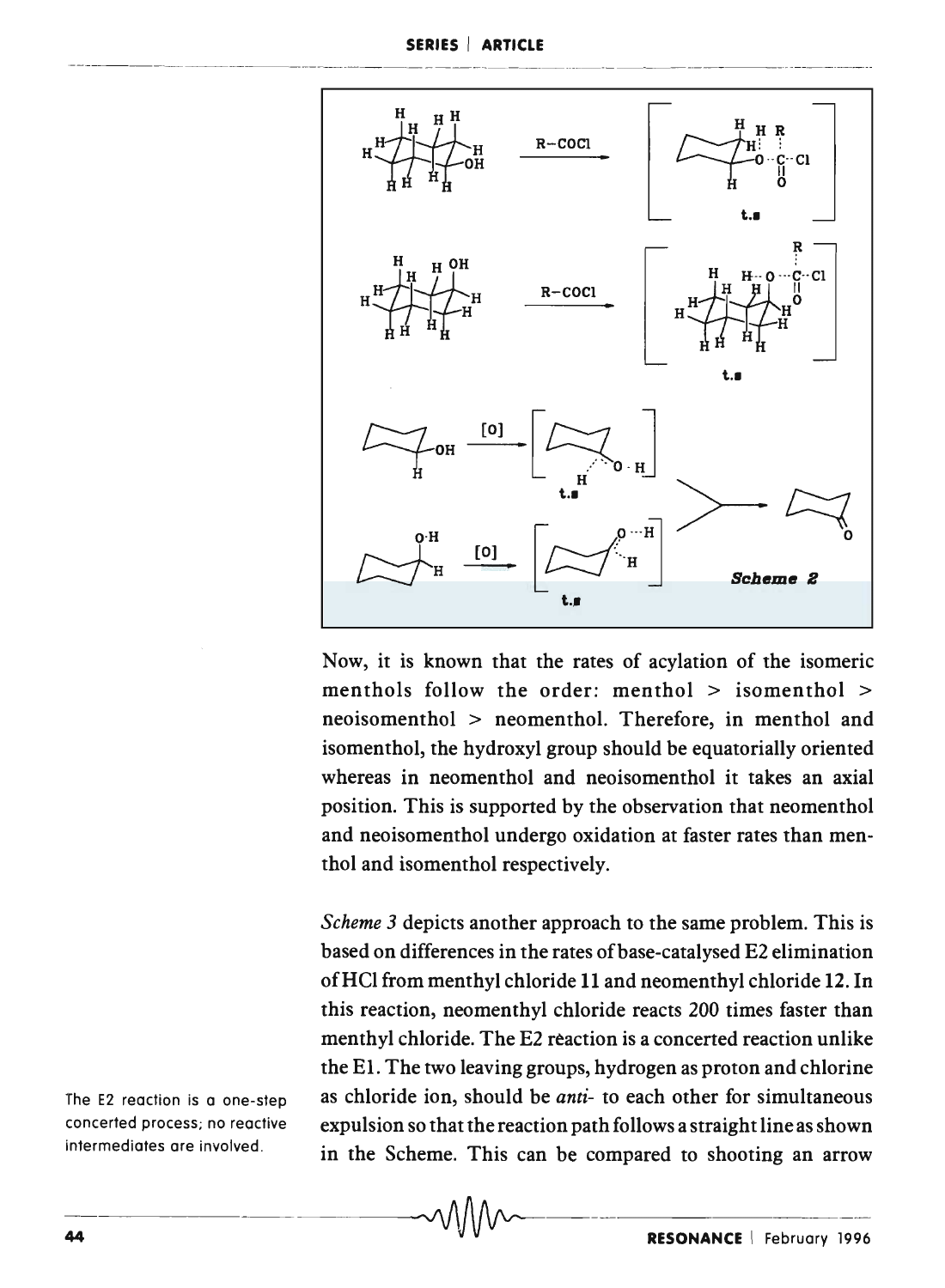

Now, it is known that the rates of acylation of the isomeric menthols follow the order: menthol  $>$  isomenthol  $>$ neoisomenthol > neomenthol. Therefore, in menthol and isomenthol, the hydroxyl group should be equatorially oriented whereas in neomenthol and neoisomenthol it takes an axial position. This is supported by the observation that neomenthol and neoisomenthol undergo oxidation at faster rates than menthol and isomenthol respectively.

*Scheme* 3 depicts another approach to the same problem. This is based on differences in the rates of base-cata lysed E2 elimination ofHCI from menthyl chloride 11 and neomenthyl chloride 12. In this reaction, neomenthyl chloride reacts 200 times faster than menthyl chloride. The E2 reaction is a concerted reaction unlike the El. The two leaving groups, hydrogen as proton and chlorine as chloride ion, should be *anti-* to each other for simultaneous expulsion so that the reaction path follows a straight line as shown in the Scheme. This can be compared to shooting an arrow

The E2 reaction is a one-step concerted process; no reactive intermediates are involved.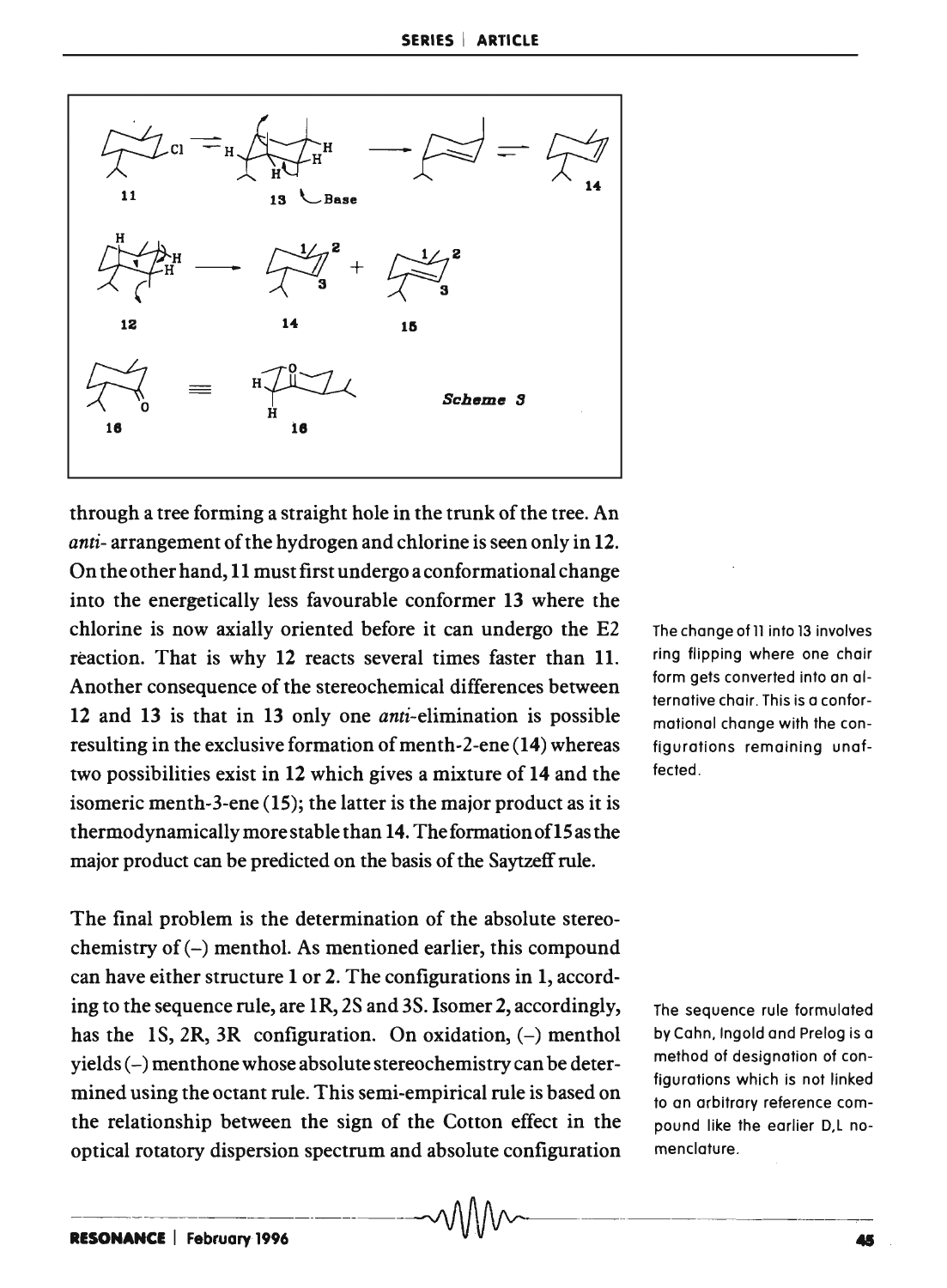

through a tree forming a straight hole in the trunk of the tree. An *anti-* arrangement of the hydrogen and chlorine is seen only in 12. On the other hand, 11 must first undergo a conformational change into the energetically less favourable conformer 13 where the chlorine is now axially oriented before it can undergo the E2 reaction. That is why 12 reacts several times faster than 11. Another consequence of the stereochemical differences between 12 and 13 is that in 13 only one anti-elimination is possible resulting in the exclusive formation of menth-2-ene (14) whereas two possibilities exist in 12 which gives a mixture of 14 and the isomeric menth-3-ene (15); the latter is the major product as it is thermodynamically more stable than 14. The formation of 15 as the major product can be predicted on the basis of the Saytzeff rule.

The final problem is the determination of the absolute stereochemistry of  $(-)$  menthol. As mentioned earlier, this compound can have either structure 1 or 2. The configurations in 1, according to the sequence rule, are lR, 2S and 3S. Isomer 2, accordingly, has the 1S, 2R, 3R configuration. On oxidation,  $(-)$  menthol yields (-) menthone whose absolute stereochemistry can be determined using the octant rule. This semi-empirical rule is based on the relationship between the sign of the Cotton effect in the optical rotatory dispersion spectrum and absolute configuration The change of 11 into 13 involves ring flipping where one chair form gets converted into an alternative chair. This is a conformational change with the configurations remaining unaffected.

The sequence rule formulated by Cahn. Ingold and Prelog is a method of designation of configurations which is not linked to an arbitrary reference compound like the earlier O,L nomenclature.